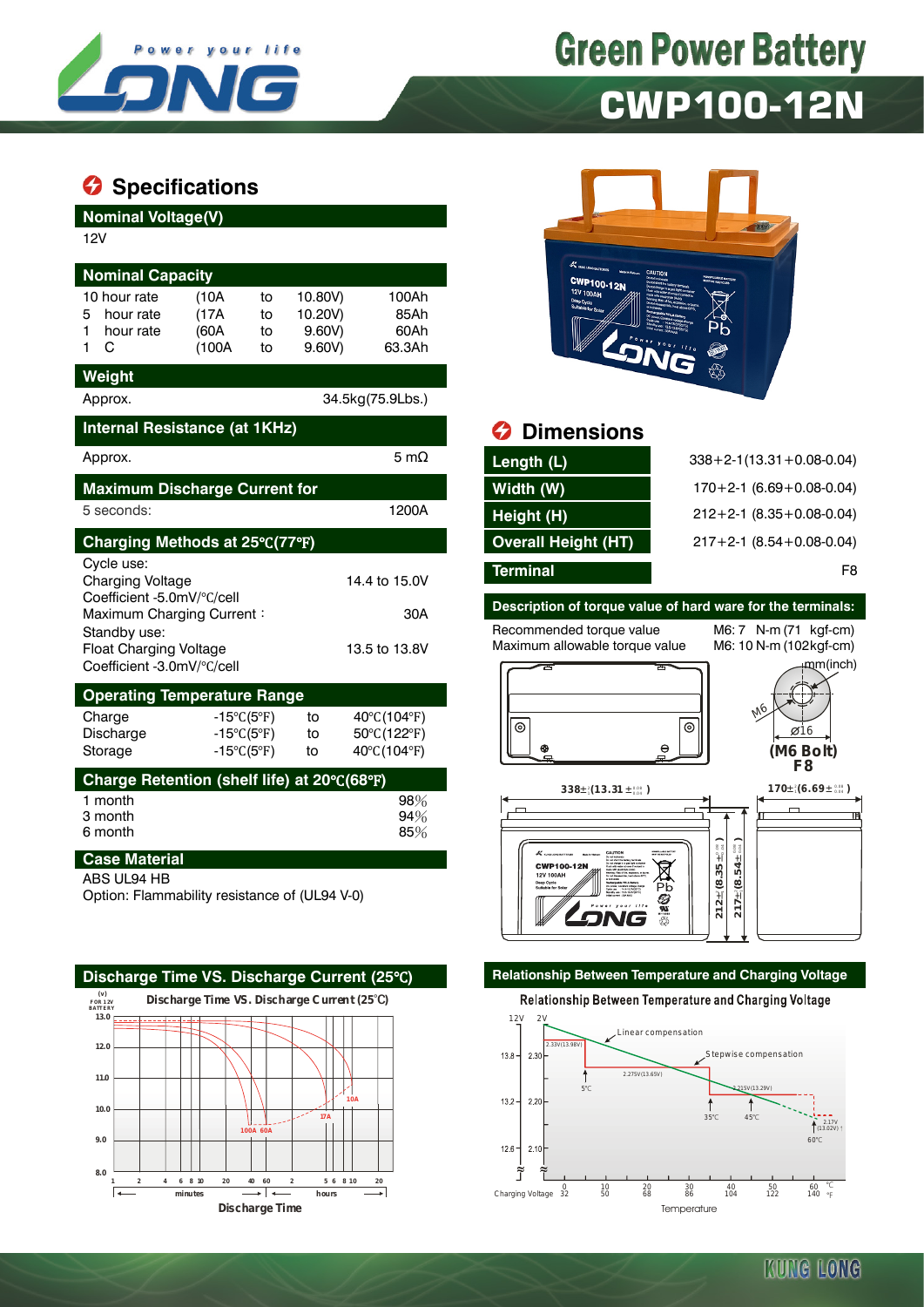

# **Green Power Battery**

# **CWP100-12N**

# **Specifications**

| <b>Nominal Voltage(V)</b>                                                                 |                                                        |                      |                                      |                                           |  |  |  |  |
|-------------------------------------------------------------------------------------------|--------------------------------------------------------|----------------------|--------------------------------------|-------------------------------------------|--|--|--|--|
| 12V                                                                                       |                                                        |                      |                                      |                                           |  |  |  |  |
| <b>Nominal Capacity</b>                                                                   |                                                        |                      |                                      |                                           |  |  |  |  |
| 10 hour rate<br>5<br>hour rate<br>hour rate<br>1<br>C<br>1                                | (10A<br>(17A)<br>(60A<br>(100A                         | to<br>to<br>tο<br>to | 10.80V)<br>10.20V)<br>9.60V<br>9.60V | 100Ah<br>85Ah<br>60Ah<br>63.3Ah           |  |  |  |  |
|                                                                                           |                                                        |                      |                                      |                                           |  |  |  |  |
| Weight<br>34.5kg(75.9Lbs.)<br>Approx.                                                     |                                                        |                      |                                      |                                           |  |  |  |  |
| Internal Resistance (at 1KHz)                                                             |                                                        |                      |                                      |                                           |  |  |  |  |
| Approx.                                                                                   |                                                        |                      |                                      | 5 m $\Omega$                              |  |  |  |  |
| <b>Maximum Discharge Current for</b>                                                      |                                                        |                      |                                      |                                           |  |  |  |  |
| 1200A<br>5 seconds:                                                                       |                                                        |                      |                                      |                                           |  |  |  |  |
|                                                                                           |                                                        |                      |                                      |                                           |  |  |  |  |
| Charging Methods at 25°C(77°F)                                                            |                                                        |                      |                                      |                                           |  |  |  |  |
| Cycle use:<br>Charging Voltage<br>Coefficient -5.0mV/°C/cell<br>Maximum Charging Current: |                                                        |                      |                                      | 14.4 to 15.0V<br>30A                      |  |  |  |  |
| Standby use:<br>Float Charging Voltage<br>Coefficient -3.0mV/°C/cell                      |                                                        |                      |                                      | 13.5 to 13.8V                             |  |  |  |  |
| <b>Operating Temperature Range</b>                                                        |                                                        |                      |                                      |                                           |  |  |  |  |
| Charge<br>Discharge<br>Storage                                                            | -15°C(5°F)<br>$-15^{\circ}C(5^{\circ}F)$<br>-15°C(5°F) |                      | to<br>to<br>to                       | 40°C(104°F)<br>50°C(122°F)<br>40°C(104°F) |  |  |  |  |
| Charge Retention (shelf life) at 20°C(68°F)                                               |                                                        |                      |                                      |                                           |  |  |  |  |

### **Case Material**

ABS UL94 HB

Option: Flammability resistance of (UL94 V-0)





# *<u>B* Dimensions</u>

| Approx.                              | 5 m $\Omega$  | Length (L)                 | $338 + 2 - 1(13.31 + 0.08 - 0.04)$ |
|--------------------------------------|---------------|----------------------------|------------------------------------|
| <b>Maximum Discharge Current for</b> |               | Width (W)                  | $170+2-1$ (6.69 + 0.08-0.04)       |
| 5 seconds:                           | 1200A         | Height (H)                 | $212+2-1$ (8.35 + 0.08 - 0.04)     |
| Charging Methods at 25°C(77°F)       |               | <b>Overall Height (HT)</b> | $217+2-1$ (8.54+0.08-0.04)         |
| Cycle use:<br>Charging Voltage       | 14.4 to 15.0V | <b>Terminal</b>            | F8                                 |

## **Description of torque value of hard ware for the terminals:**

Recommended torque value M6: 7 N-m (71 kgf-cm)<br>Maximum allowable torque value M6: 10 N-m (102 kgf-cm) Maximum allowable torque value





Relationship Between Temperature and Charging Voltage